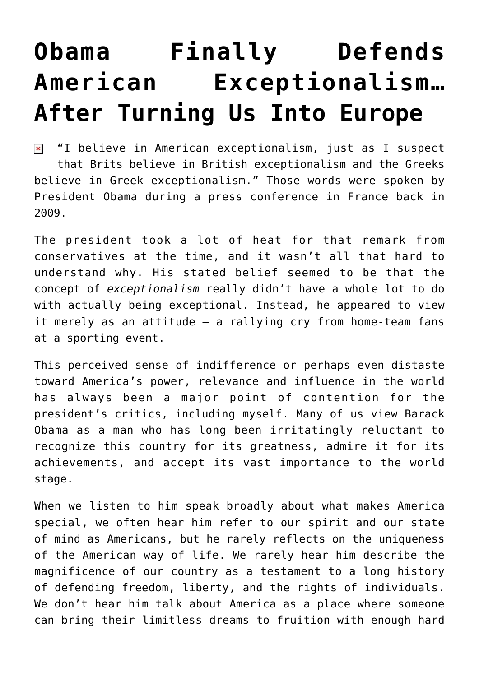## **[Obama Finally Defends](https://bernardgoldberg.com/obama-finally-defends-american-exceptionalism-after-turning-us-into-europe/) [American Exceptionalism…](https://bernardgoldberg.com/obama-finally-defends-american-exceptionalism-after-turning-us-into-europe/) [After Turning Us Into Europe](https://bernardgoldberg.com/obama-finally-defends-american-exceptionalism-after-turning-us-into-europe/)**

 $\boxed{\mathbf{x}}$  "I believe in American exceptionalism, just as I suspect that Brits believe in British exceptionalism and the Greeks believe in Greek exceptionalism." Those words were spoken by President Obama during a press conference in France back in 2009.

The president took a lot of heat for that remark from conservatives at the time, and it wasn't all that hard to understand why. His stated belief seemed to be that the concept of *exceptionalism* really didn't have a whole lot to do with actually being exceptional. Instead, he appeared to view it merely as an attitude – a rallying cry from home-team fans at a sporting event.

This perceived sense of indifference or perhaps even distaste toward America's power, relevance and influence in the world has always been a major point of contention for the president's critics, including myself. Many of us view Barack Obama as a man who has long been irritatingly reluctant to recognize this country for its greatness, admire it for its achievements, and accept its vast importance to the world stage.

When we listen to him speak broadly about what makes America special, we often hear him refer to our spirit and our state of mind as Americans, but he rarely reflects on the uniqueness of the American way of life. We rarely hear him describe the magnificence of our country as a testament to a long history of defending freedom, liberty, and the rights of individuals. We don't hear him talk about America as a place where someone can bring their limitless dreams to fruition with enough hard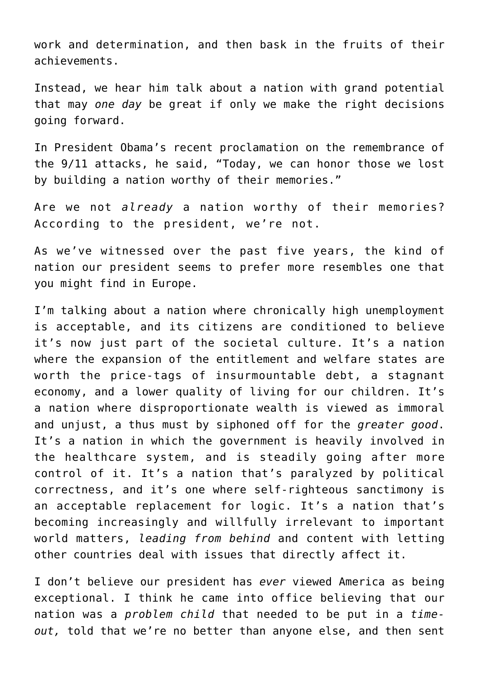work and determination, and then bask in the fruits of their achievements.

Instead, we hear him talk about a nation with grand potential that may *one day* be great if only we make the right decisions going forward.

In President Obama's recent proclamation on the remembrance of the 9/11 attacks, he said, "Today, we can honor those we lost by building a nation worthy of their memories."

Are we not *already* a nation worthy of their memories? According to the president, we're not.

As we've witnessed over the past five years, the kind of nation our president seems to prefer more resembles one that you might find in Europe.

I'm talking about a nation where chronically high unemployment is acceptable, and its citizens are conditioned to believe it's now just part of the societal culture. It's a nation where the expansion of the entitlement and welfare states are worth the price-tags of insurmountable debt, a stagnant economy, and a lower quality of living for our children. It's a nation where disproportionate wealth is viewed as immoral and unjust, a thus must by siphoned off for the *greater good*. It's a nation in which the government is heavily involved in the healthcare system, and is steadily going after more control of it. It's a nation that's paralyzed by political correctness, and it's one where self-righteous sanctimony is an acceptable replacement for logic. It's a nation that's becoming increasingly and willfully irrelevant to important world matters, *leading from behind* and content with letting other countries deal with issues that directly affect it.

I don't believe our president has *ever* viewed America as being exceptional. I think he came into office believing that our nation was a *problem child* that needed to be put in a *timeout,* told that we're no better than anyone else, and then sent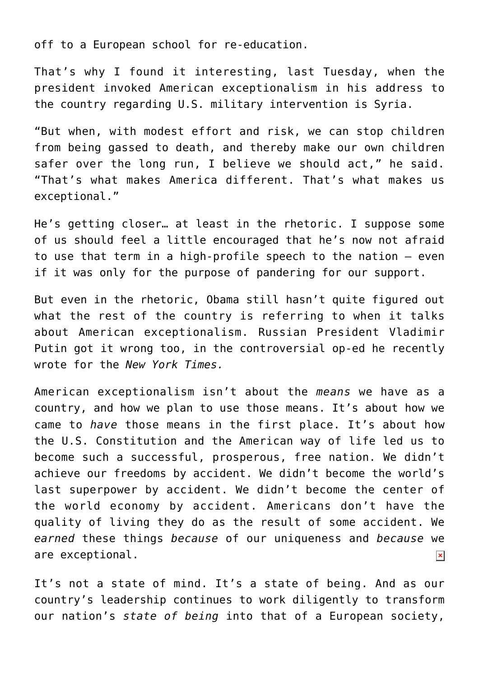off to a European school for re-education.

That's why I found it interesting, last Tuesday, when the president invoked American exceptionalism in his address to the country regarding U.S. military intervention is Syria.

"But when, with modest effort and risk, we can stop children from being gassed to death, and thereby make our own children safer over the long run, I believe we should act," he said. "That's what makes America different. That's what makes us exceptional."

He's getting closer… at least in the rhetoric. I suppose some of us should feel a little encouraged that he's now not afraid to use that term in a high-profile speech to the nation – even if it was only for the purpose of pandering for our support.

But even in the rhetoric, Obama still hasn't quite figured out what the rest of the country is referring to when it talks about American exceptionalism. Russian President Vladimir Putin got it wrong too, in the controversial op-ed he recently wrote for the *New York Times.*

American exceptionalism isn't about the *means* we have as a country, and how we plan to use those means. It's about how we came to *have* those means in the first place. It's about how the U.S. Constitution and the American way of life led us to become such a successful, prosperous, free nation. We didn't achieve our freedoms by accident. We didn't become the world's last superpower by accident. We didn't become the center of the world economy by accident. Americans don't have the quality of living they do as the result of some accident. We *earned* these things *because* of our uniqueness and *because* we are exceptional.  $\pmb{\times}$ 

It's not a state of mind. It's a state of being. And as our country's leadership continues to work diligently to transform our nation's *state of being* into that of a European society,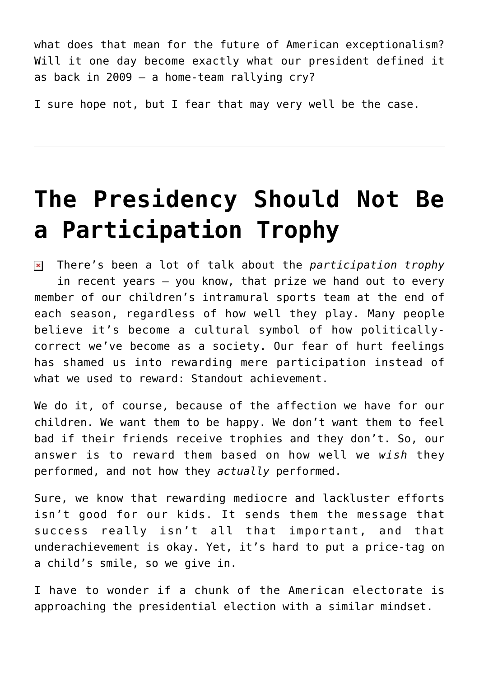what does that mean for the future of American exceptionalism? Will it one day become exactly what our president defined it as back in 2009 – a home-team rallying cry?

I sure hope not, but I fear that may very well be the case.

## **[The Presidency Should Not Be](https://bernardgoldberg.com/the-presidency-should-not-be-a-participation-trophy/) [a Participation Trophy](https://bernardgoldberg.com/the-presidency-should-not-be-a-participation-trophy/)**

 $\pmb{\times}$ There's been a lot of talk about the *participation trophy* in recent years – you know, that prize we hand out to every member of our children's intramural sports team at the end of each season, regardless of how well they play. Many people believe it's become a cultural symbol of how politicallycorrect we've become as a society. Our fear of hurt feelings has shamed us into rewarding mere participation instead of what we used to reward: Standout achievement.

We do it, of course, because of the affection we have for our children. We want them to be happy. We don't want them to feel bad if their friends receive trophies and they don't. So, our answer is to reward them based on how well we *wish* they performed, and not how they *actually* performed.

Sure, we know that rewarding mediocre and lackluster efforts isn't good for our kids. It sends them the message that success really isn't all that important, and that underachievement is okay. Yet, it's hard to put a price-tag on a child's smile, so we give in.

I have to wonder if a chunk of the American electorate is approaching the presidential election with a similar mindset.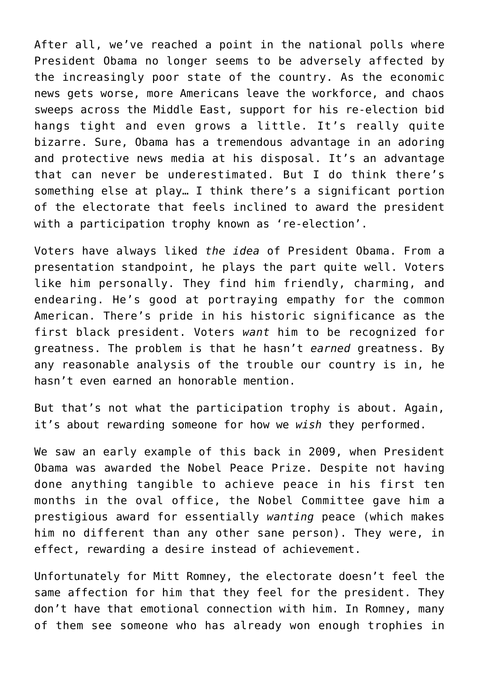After all, we've reached a point in the national polls where President Obama no longer seems to be adversely affected by the increasingly poor state of the country. As the economic news gets worse, more Americans leave the workforce, and chaos sweeps across the Middle East, support for his re-election bid hangs tight and even grows a little. It's really quite bizarre. Sure, Obama has a tremendous advantage in an adoring and protective news media at his disposal. It's an advantage that can never be underestimated. But I do think there's something else at play… I think there's a significant portion of the electorate that feels inclined to award the president with a participation trophy known as 're-election'.

Voters have always liked *the idea* of President Obama. From a presentation standpoint, he plays the part quite well. Voters like him personally. They find him friendly, charming, and endearing. He's good at portraying empathy for the common American. There's pride in his historic significance as the first black president. Voters *want* him to be recognized for greatness. The problem is that he hasn't *earned* greatness. By any reasonable analysis of the trouble our country is in, he hasn't even earned an honorable mention.

But that's not what the participation trophy is about. Again, it's about rewarding someone for how we *wish* they performed.

We saw an early example of this back in 2009, when President Obama was awarded the Nobel Peace Prize. Despite not having done anything tangible to achieve peace in his first ten months in the oval office, the Nobel Committee gave him a prestigious award for essentially *wanting* peace (which makes him no different than any other sane person). They were, in effect, rewarding a desire instead of achievement.

Unfortunately for Mitt Romney, the electorate doesn't feel the same affection for him that they feel for the president. They don't have that emotional connection with him. In Romney, many of them see someone who has already won enough trophies in